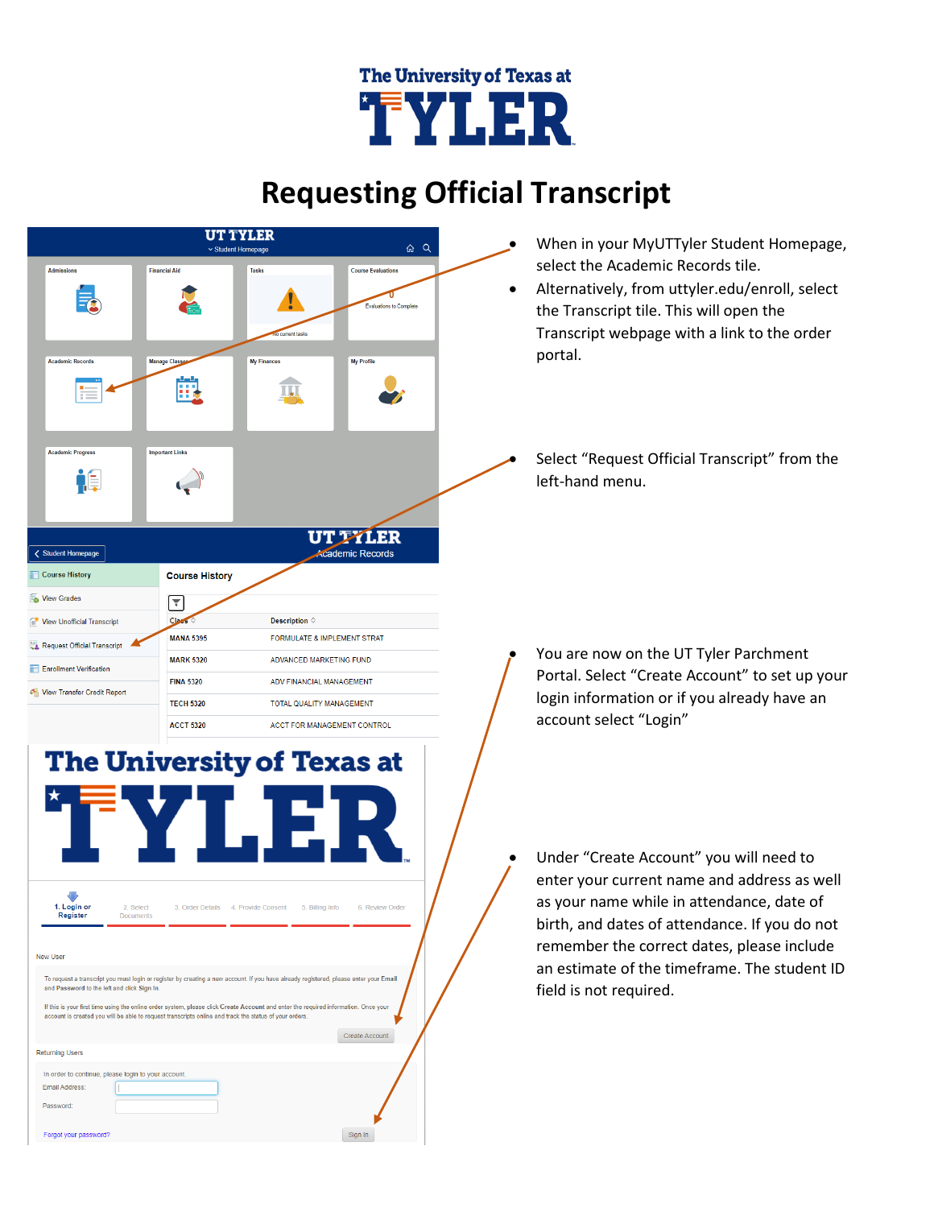## The University of Texas at **TYLER**

## **Requesting Official Transcript**



## **The University of Texas at** 1. Login or<br>Register 2. Select 3. Order Details 4. Provide Consent 5. Billing Info 6. Review Order New User To request a transcript you must login or register by creating a new account. If you have already registered, please enter your Email and Password to the left and click Sign In If this is your first time using the online order system, please click Create Account and enter the required inforn account is created you will be able to request transcripts online and track the status of your orders Create Account **Returning Users** In order to continue, please login to your account Email Address Password Forgot your password? Sign In

- When in your MyUTTyler Student Homepage, select the Academic Records tile.
- Alternatively, from uttyler.edu/enroll, select the Transcript tile. This will open the Transcript webpage with a link to the order portal.
- Select "Request Official Transcript" from the left-hand menu.

- You are now on the UT Tyler Parchment Portal. Select "Create Account" to set up your login information or if you already have an account select "Login"
- Under "Create Account" you will need to enter your current name and address as well as your name while in attendance, date of birth, and dates of attendance. If you do not remember the correct dates, please include an estimate of the timeframe. The student ID field is not required.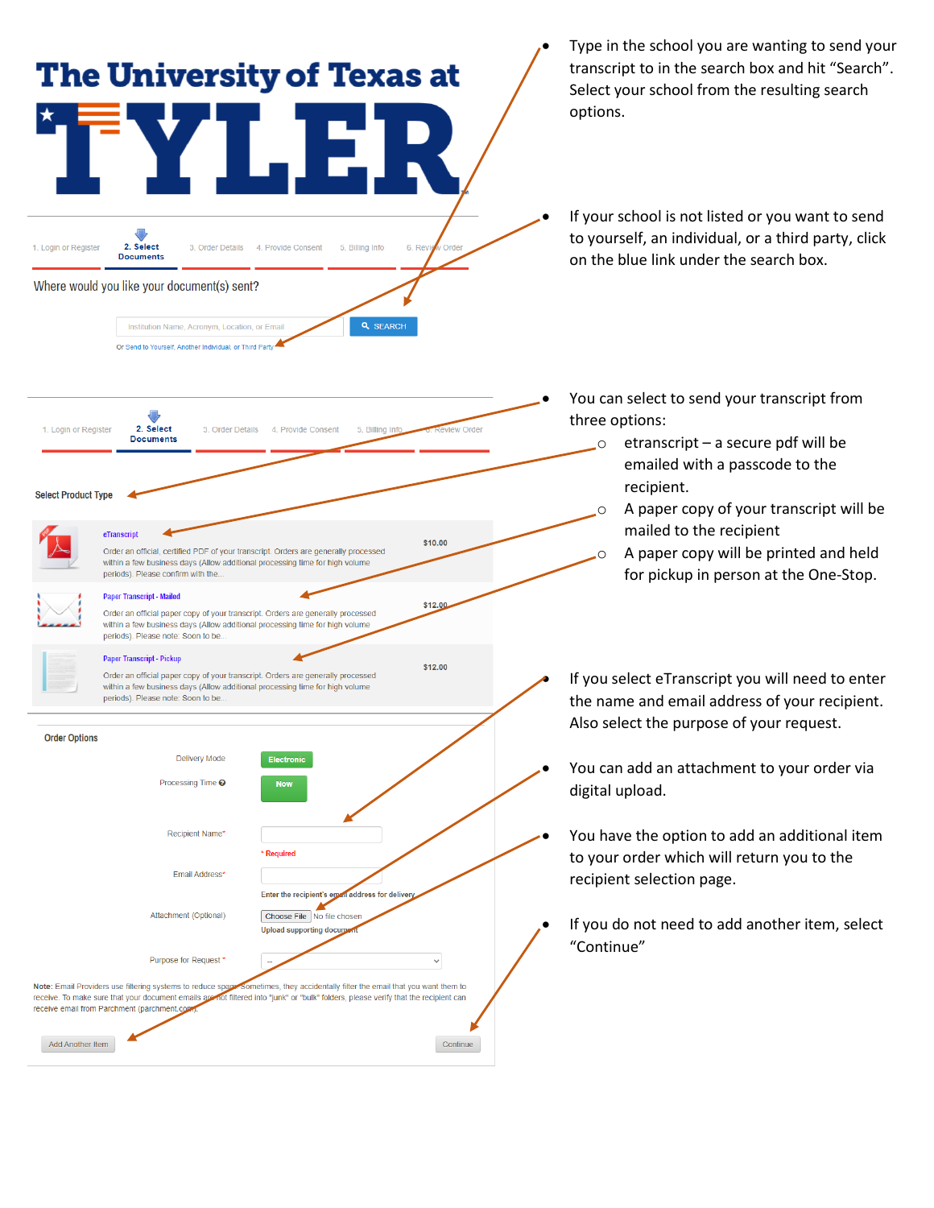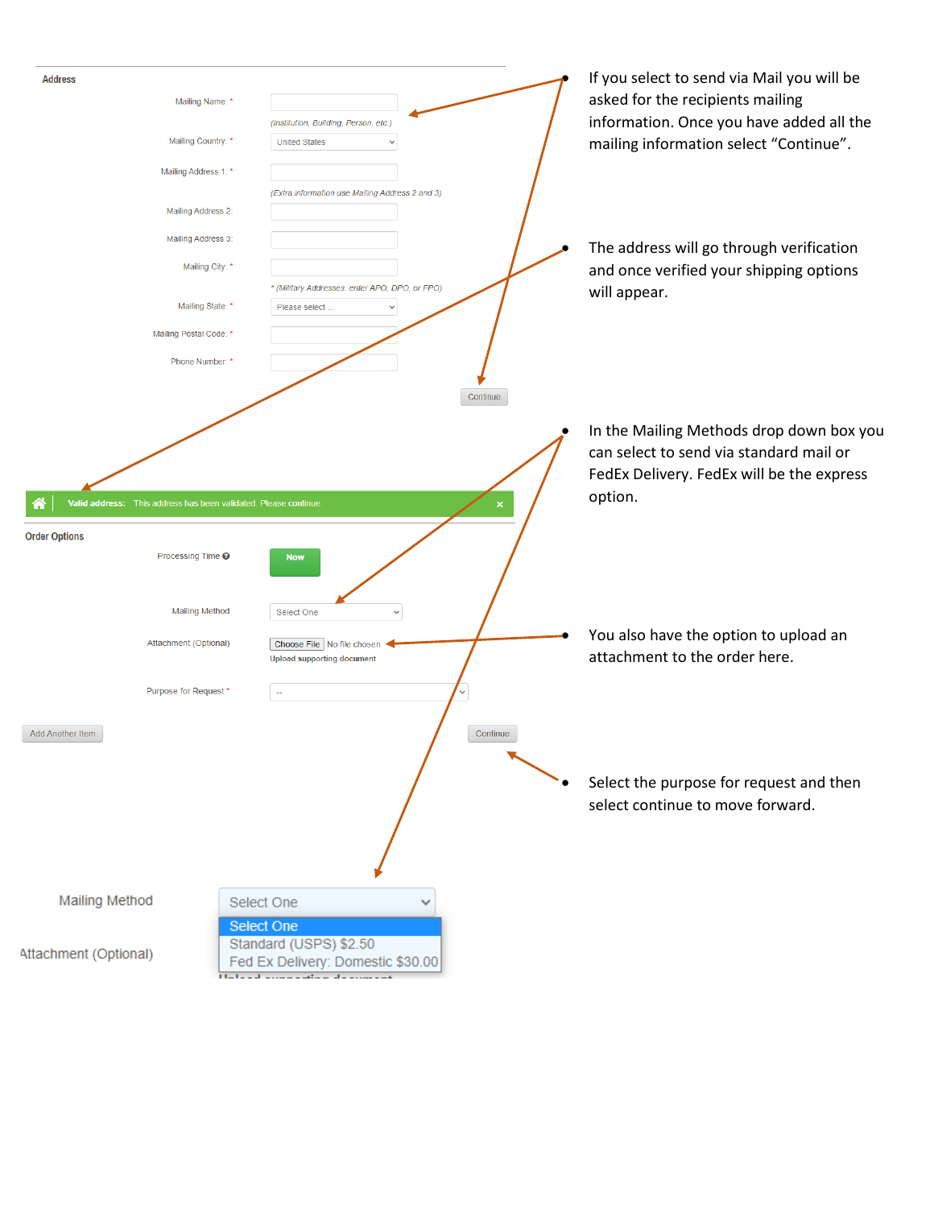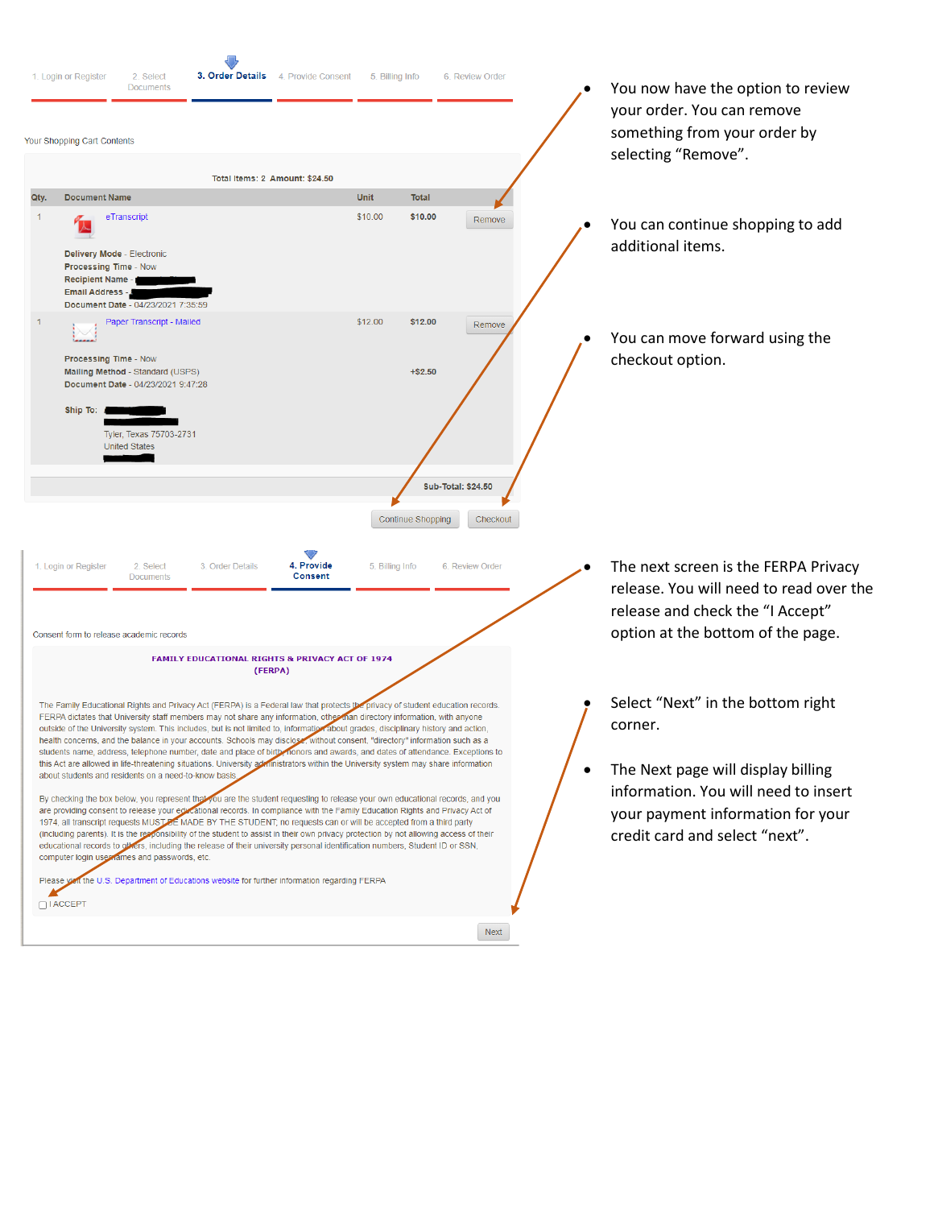